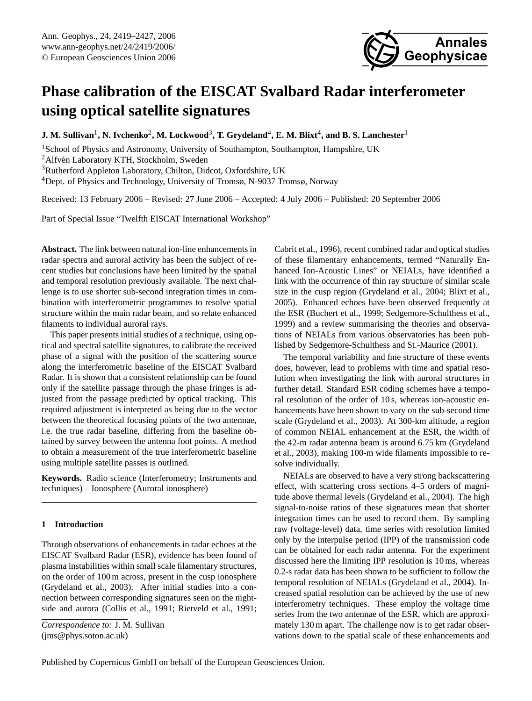

# **Phase calibration of the EISCAT Svalbard Radar interferometer using optical satellite signatures**

 ${\bf J.~M.~Sullivan^1,~N.~Ivchenko^2,~M.~Lockwood^3,~T.~Grydeland^4,~E.~M.~Blixt^4,~and~B.~S.~Lanchester^1}$ 

<sup>1</sup>School of Physics and Astronomy, University of Southampton, Southampton, Hampshire, UK Alfvén Laboratory KTH, Stockholm, Sweden Rutherford Appleton Laboratory, Chilton, Didcot, Oxfordshire, UK Dept. of Physics and Technology, University of Tromsø, N-9037 Tromsø, Norway

Received: 13 February 2006 – Revised: 27 June 2006 – Accepted: 4 July 2006 – Published: 20 September 2006

Part of Special Issue "Twelfth EISCAT International Workshop"

**Abstract.** The link between natural ion-line enhancements in radar spectra and auroral activity has been the subject of recent studies but conclusions have been limited by the spatial and temporal resolution previously available. The next challenge is to use shorter sub-second integration times in combination with interferometric programmes to resolve spatial structure within the main radar beam, and so relate enhanced filaments to individual auroral rays.

This paper presents initial studies of a technique, using optical and spectral satellite signatures, to calibrate the received phase of a signal with the position of the scattering source along the interferometric baseline of the EISCAT Svalbard Radar. It is shown that a consistent relationship can be found only if the satellite passage through the phase fringes is adjusted from the passage predicted by optical tracking. This required adjustment is interpreted as being due to the vector between the theoretical focusing points of the two antennae, i.e. the true radar baseline, differing from the baseline obtained by survey between the antenna foot points. A method to obtain a measurement of the true interferometric baseline using multiple satellite passes is outlined.

**Keywords.** Radio science (Interferometry; Instruments and techniques) – Ionosphere (Auroral ionosphere)

## **1 Introduction**

Through observations of enhancements in radar echoes at the EISCAT Svalbard Radar (ESR), evidence has been found of plasma instabilities within small scale filamentary structures, on the order of 100 m across, present in the cusp ionosphere [\(Grydeland et al.,](#page-8-0) [2003\)](#page-8-0). After initial studies into a connection between corresponding signatures seen on the nightside and aurora [\(Collis et al.,](#page-8-1) [1991;](#page-8-1) [Rietveld et al.,](#page-8-2) [1991;](#page-8-2) [Cabrit et al.,](#page-8-3) [1996\)](#page-8-3), recent combined radar and optical studies of these filamentary enhancements, termed "Naturally Enhanced Ion-Acoustic Lines" or NEIALs, have identified a link with the occurrence of thin ray structure of similar scale size in the cusp region [\(Grydeland et al.,](#page-8-4) [2004;](#page-8-4) [Blixt et al.,](#page-7-0) [2005\)](#page-7-0). Enhanced echoes have been observed frequently at the ESR [\(Buchert et al.,](#page-8-5) [1999;](#page-8-5) [Sedgemore-Schulthess et al.,](#page-8-6) [1999\)](#page-8-6) and a review summarising the theories and observations of NEIALs from various observatories has been published by [Sedgemore-Schulthess and St.-Maurice](#page-8-7) [\(2001\)](#page-8-7).

The temporal variability and fine structure of these events does, however, lead to problems with time and spatial resolution when investigating the link with auroral structures in further detail. Standard ESR coding schemes have a temporal resolution of the order of 10 s, whereas ion-acoustic enhancements have been shown to vary on the sub-second time scale [\(Grydeland et al.,](#page-8-0) [2003\)](#page-8-0). At 300-km altitude, a region of common NEIAL enhancement at the ESR, the width of the 42-m radar antenna beam is around 6.75 km [\(Grydeland](#page-8-0) [et al.,](#page-8-0) [2003\)](#page-8-0), making 100-m wide filaments impossible to resolve individually.

NEIALs are observed to have a very strong backscattering effect, with scattering cross sections 4–5 orders of magnitude above thermal levels [\(Grydeland et al.,](#page-8-4) [2004\)](#page-8-4). The high signal-to-noise ratios of these signatures mean that shorter integration times can be used to record them. By sampling raw (voltage-level) data, time series with resolution limited only by the interpulse period (IPP) of the transmission code can be obtained for each radar antenna. For the experiment discussed here the limiting IPP resolution is 10 ms, whereas 0.2-s radar data has been shown to be sufficient to follow the temporal resolution of NEIALs [\(Grydeland et al.,](#page-8-4) [2004\)](#page-8-4). Increased spatial resolution can be achieved by the use of new interferometry techniques. These employ the voltage time series from the two antennae of the ESR, which are approximately 130 m apart. The challenge now is to get radar observations down to the spatial scale of these enhancements and

<span id="page-0-0"></span>*Correspondence to:* J. M. Sullivan (jms@phys.soton.ac.uk)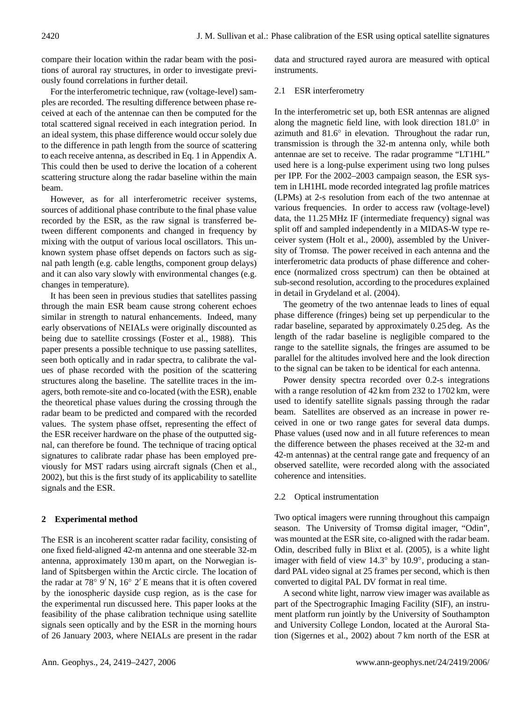compare their location within the radar beam with the positions of auroral ray structures, in order to investigate previously found correlations in further detail.

For the interferometric technique, raw (voltage-level) samples are recorded. The resulting difference between phase received at each of the antennae can then be computed for the total scattered signal received in each integration period. In an ideal system, this phase difference would occur solely due to the difference in path length from the source of scattering to each receive antenna, as described in Eq. 1 in Appendix A. This could then be used to derive the location of a coherent scattering structure along the radar baseline within the main beam.

However, as for all interferometric receiver systems, sources of additional phase contribute to the final phase value recorded by the ESR, as the raw signal is transferred between different components and changed in frequency by mixing with the output of various local oscillators. This unknown system phase offset depends on factors such as signal path length (e.g. cable lengths, component group delays) and it can also vary slowly with environmental changes (e.g. changes in temperature).

It has been seen in previous studies that satellites passing through the main ESR beam cause strong coherent echoes similar in strength to natural enhancements. Indeed, many early observations of NEIALs were originally discounted as being due to satellite crossings [\(Foster et al.,](#page-8-8) [1988\)](#page-8-8). This paper presents a possible technique to use passing satellites, seen both optically and in radar spectra, to calibrate the values of phase recorded with the position of the scattering structures along the baseline. The satellite traces in the imagers, both remote-site and co-located (with the ESR), enable the theoretical phase values during the crossing through the radar beam to be predicted and compared with the recorded values. The system phase offset, representing the effect of the ESR receiver hardware on the phase of the outputted signal, can therefore be found. The technique of tracing optical signatures to calibrate radar phase has been employed previously for MST radars using aircraft signals [\(Chen et al.,](#page-8-9) [2002\)](#page-8-9), but this is the first study of its applicability to satellite signals and the ESR.

## **2 Experimental method**

The ESR is an incoherent scatter radar facility, consisting of one fixed field-aligned 42-m antenna and one steerable 32-m antenna, approximately 130 m apart, on the Norwegian island of Spitsbergen within the Arctic circle. The location of the radar at 78° 9' N, 16° 2' E means that it is often covered by the ionospheric dayside cusp region, as is the case for the experimental run discussed here. This paper looks at the feasibility of the phase calibration technique using satellite signals seen optically and by the ESR in the morning hours of 26 January 2003, where NEIALs are present in the radar data and structured rayed aurora are measured with optical instruments.

## 2.1 ESR interferometry

In the interferometric set up, both ESR antennas are aligned along the magnetic field line, with look direction 181.0° in azimuth and 81.6◦ in elevation. Throughout the radar run, transmission is through the 32-m antenna only, while both antennae are set to receive. The radar programme "LT1HL" used here is a long-pulse experiment using two long pulses per IPP. For the 2002–2003 campaign season, the ESR system in LH1HL mode recorded integrated lag profile matrices (LPMs) at 2-s resolution from each of the two antennae at various frequencies. In order to access raw (voltage-level) data, the 11.25 MHz IF (intermediate frequency) signal was split off and sampled independently in a MIDAS-W type receiver system [\(Holt et al.,](#page-8-10) [2000\)](#page-8-10), assembled by the University of Tromsø. The power received in each antenna and the interferometric data products of phase difference and coherence (normalized cross spectrum) can then be obtained at sub-second resolution, according to the procedures explained in detail in [Grydeland et al.](#page-8-4) [\(2004\)](#page-8-4).

The geometry of the two antennae leads to lines of equal phase difference (fringes) being set up perpendicular to the radar baseline, separated by approximately 0.25 deg. As the length of the radar baseline is negligible compared to the range to the satellite signals, the fringes are assumed to be parallel for the altitudes involved here and the look direction to the signal can be taken to be identical for each antenna.

Power density spectra recorded over 0.2-s integrations with a range resolution of 42 km from 232 to 1702 km, were used to identify satellite signals passing through the radar beam. Satellites are observed as an increase in power received in one or two range gates for several data dumps. Phase values (used now and in all future references to mean the difference between the phases received at the 32-m and 42-m antennas) at the central range gate and frequency of an observed satellite, were recorded along with the associated coherence and intensities.

## 2.2 Optical instrumentation

Two optical imagers were running throughout this campaign season. The University of Tromsø digital imager, "Odin", was mounted at the ESR site, co-aligned with the radar beam. Odin, described fully in [Blixt et al.](#page-7-0) [\(2005\)](#page-7-0), is a white light imager with field of view 14.3◦ by 10.9◦ , producing a standard PAL video signal at 25 frames per second, which is then converted to digital PAL DV format in real time.

A second white light, narrow view imager was available as part of the Spectrographic Imaging Facility (SIF), an instrument platform run jointly by the University of Southampton and University College London, located at the Auroral Station [\(Sigernes et al.,](#page-8-11) [2002\)](#page-8-11) about 7 km north of the ESR at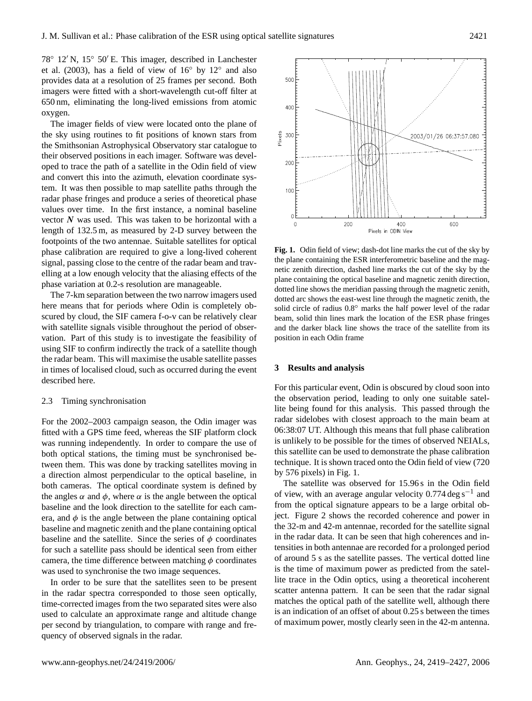78° 12′ N, 15° 50′ E. This imager, described in [Lanchester](#page-8-12) [et al.](#page-8-12) [\(2003\)](#page-8-12), has a field of view of  $16°$  by  $12°$  and also provides data at a resolution of 25 frames per second. Both imagers were fitted with a short-wavelength cut-off filter at 650 nm, eliminating the long-lived emissions from atomic oxygen.

The imager fields of view were located onto the plane of the sky using routines to fit positions of known stars from the Smithsonian Astrophysical Observatory star catalogue to their observed positions in each imager. Software was developed to trace the path of a satellite in the Odin field of view and convert this into the azimuth, elevation coordinate system. It was then possible to map satellite paths through the radar phase fringes and produce a series of theoretical phase values over time. In the first instance, a nominal baseline vector  $N$  was used. This was taken to be horizontal with a length of 132.5 m, as measured by 2-D survey between the footpoints of the two antennae. Suitable satellites for optical phase calibration are required to give a long-lived coherent signal, passing close to the centre of the radar beam and travelling at a low enough velocity that the aliasing effects of the phase variation at 0.2-s resolution are manageable.

The 7-km separation between the two narrow imagers used here means that for periods where Odin is completely obscured by cloud, the SIF camera f-o-v can be relatively clear with satellite signals visible throughout the period of observation. Part of this study is to investigate the feasibility of using SIF to confirm indirectly the track of a satellite though the radar beam. This will maximise the usable satellite passes in times of localised cloud, such as occurred during the event described here.

#### 2.3 Timing synchronisation

For the 2002–2003 campaign season, the Odin imager was fitted with a GPS time feed, whereas the SIF platform clock was running independently. In order to compare the use of both optical stations, the timing must be synchronised between them. This was done by tracking satellites moving in a direction almost perpendicular to the optical baseline, in both cameras. The optical coordinate system is defined by the angles  $\alpha$  and  $\phi$ , where  $\alpha$  is the angle between the optical baseline and the look direction to the satellite for each camera, and  $\phi$  is the angle between the plane containing optical baseline and magnetic zenith and the plane containing optical baseline and the satellite. Since the series of  $\phi$  coordinates for such a satellite pass should be identical seen from either camera, the time difference between matching  $\phi$  coordinates was used to synchronise the two image sequences.

In order to be sure that the satellites seen to be present in the radar spectra corresponded to those seen optically, time-corrected images from the two separated sites were also used to calculate an approximate range and altitude change per second by triangulation, to compare with range and frequency of observed signals in the radar.



<span id="page-2-0"></span>the plane containing the ESR interferometric baseline and the mag-<br>the plane containing the ESR interferometric baseline and the maging effects of the magnetic zenith direction, plane containing the optical baseline and magnetic zenith direction, From the optical baseline shows the meridian passing unough the magnetic zenith, the dotted arc shows the east-west line through the magnetic zenith, the s completely obset-west of radius  $0.8°$  marks the half power level of the radar period of obser-<br>and the darker black line shows the trace of the satellite from its the Eeasibility of position in each Odin frame  $\mathcal{L}$  the satellite satellite from its same in each Odin frame **Fig. 1.** Odin field of view; dash-dot line marks the cut of the sky by netic zenith direction, dashed line marks the cut of the sky by the dotted line shows the meridian passing through the magnetic zenith, beam, solid thin lines mark the location of the ESR phase fringes

#### **3 Results and analysis**

For this particular event, Odin is obscured by cloud soon into the observation period, leading to only one suitable satellite being found for this analysis. This passed through the radar sidelobes with closest approach to the main beam at 06:38:07 UT. Although this means that full phase calibration is unlikely to be possible for the times of observed NEIALs, this satellite can be used to demonstrate the phase calibration technique. It is shown traced onto the Odin field of view (720 by 576 pixels) in Fig. [1.](#page-2-0)

is the time of maximum power as predicted from the satel-<br>is the time of maximum power as predicted from the satel- $\frac{1}{2}$  seen optically scatter antenna pattern. It can be seen that the radar signal ed sites were also matches the optical path of the satellite well, although there The satellite was observed for 15.96 s in the Odin field of view, with an average angular velocity  $0.774 \deg s^{-1}$  and from the optical signature appears to be a large orbital object. Figure [2](#page-3-0) shows the recorded coherence and power in the 32-m and 42-m antennae, recorded for the satellite signal in the radar data. It can be seen that high coherences and intensities in both antennae are recorded for a prolonged period of around 5 s as the satellite passes. The vertical dotted line lite trace in the Odin optics, using a theoretical incoherent is an indication of an offset of about 0.25 s between the times of maximum power, mostly clearly seen in the 42-m antenna.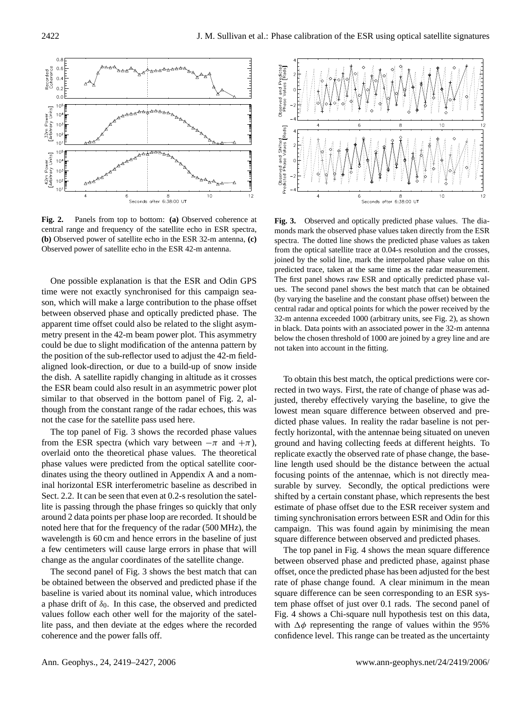

central range and frequency of the satellite echo in ESR spectra, monds mark the observed contral range and frequency of the satellite echo in ESR spectra, Observed power of satellite echo in the ESR 42-m antenna. The equivalent sate **Fig. 2.** Panels from top to bottom: **(a)** Observed coherence at **(b)** Observed power of satellite echo in the ESR 32-m antenna, **(c)**

<span id="page-3-0"></span>son, which will make a large contribution to the phase offset One possible explanation is that the ESR and Odin GPS time were not exactly synchronised for this campaign seabetween observed phase and optically predicted phase. The apparent time offset could also be related to the slight asymmetry present in the 42-m beam power plot. This asymmetry could be due to slight modification of the antenna pattern by the position of the sub-reflector used to adjust the 42-m fieldaligned look-direction, or due to a build-up of snow inside the dish. A satellite rapidly changing in altitude as it crosses the ESR beam could also result in an asymmetric power plot similar to that observed in the bottom panel of Fig. [2,](#page-3-0) although from the constant range of the radar echoes, this was not the case for the satellite pass used here. anten $\alpha$  below the chosen threshold of 1000 are not taken into a grey line and are not taken into account taken into account  $\alpha$ 

The top panel of Fig. [3](#page-3-1) shows the recorded phase values from the ESR spectra (which vary between  $-\pi$  and  $+\pi$ ), overlaid onto the theoretical phase values. The theoretical phase values were predicted from the optical satellite coordinates using the theory outlined in Appendix A and a nominal horizontal ESR interferometric baseline as described in Sect. 2.2. It can be seen that even at 0.2-s resolution the satellite is passing through the phase fringes so quickly that only around 2 data points per phase loop are recorded. It should be noted here that for the frequency of the radar (500 MHz), the wavelength is 60 cm and hence errors in the baseline of just a few centimeters will cause large errors in phase that will change as the angular coordinates of the satellite change.

The second panel of Fig. [3](#page-3-1) shows the best match that can be obtained between the observed and predicted phase if the baseline is varied about its nominal value, which introduces a phase drift of  $\delta_0$ . In this case, the observed and predicted values follow each other well for the majority of the satellite pass, and then deviate at the edges where the recorded coherence and the power falls off.



<span id="page-3-1"></span>ho in ESR spectra, monds mark the observed phase values taken directly from the ESR -m antenna. from the optical satellite trace at 0.04-s resolution and the crosses, from the optical solid line, mark the interpolated phase value on this predicted trace, taken at the same time as the radar measurement. R and Odin GPS The first panel shows raw ESR and optically predicted phase val-It call the share offset (by varying the baseline and the constant phase offset) between the  $\alpha$  the shows offset  $\frac{1}{2}$  central radar and optical points for which the power received by the constant phase. The constant points for which the power received by the  $\sigma$  and sign asym-<br>in black. Data points with an associated power in the 32-m antenna  $\frac{1}{2}$  arbitrary units, see Fig. 2), as shown in the 32 model power in the 32 model points with an arbitrary in the 32 model points with an arbitrary in the 32 model power in the 32 model power in the 32 model power in **Fig. 3.** Observed and optically predicted phase values. The diaspectra. The dotted line shows the predicted phase values as taken joined by the solid line, mark the interpolated phase value on this ues. The second panel shows the best match that can be obtained 32-m antenna exceeded 1000 (arbitrary units, see Fig. [2\)](#page-3-0), as shown below the chosen threshold of 1000 are joined by a grey line and are

To obtain this best match, the optical predictions were corrected in two ways. First, the rate of change of phase was adjusted, thereby effectively varying the baseline, to give the lowest mean square difference between observed and predicted phase values. In reality the radar baseline is not perfectly horizontal, with the antennae being situated on uneven ground and having collecting feeds at different heights. To replicate exactly the observed rate of phase change, the baseline length used should be the distance between the actual focusing points of the antennae, which is not directly measurable by survey. Secondly, the optical predictions were shifted by a certain constant phase, which represents the best estimate of phase offset due to the ESR receiver system and timing synchronisation errors between ESR and Odin for this campaign. This was found again by minimising the mean square difference between observed and predicted phases.

The top panel in Fig. [4](#page-4-0) shows the mean square difference between observed phase and predicted phase, against phase offset, once the predicted phase has been adjusted for the best rate of phase change found. A clear minimum in the mean square difference can be seen corresponding to an ESR system phase offset of just over 0.1 rads. The second panel of Fig. [4](#page-4-0) shows a Chi-square null hypothesis test on this data, with  $\Delta \phi$  representing the range of values within the 95% confidence level. This range can be treated as the uncertainty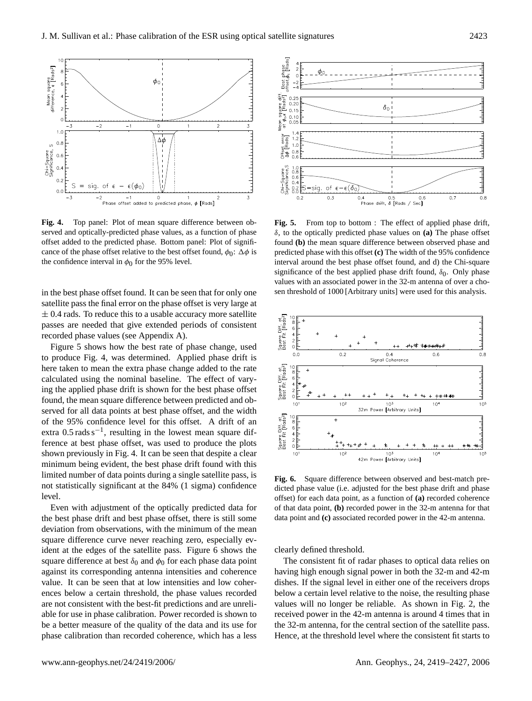

served and optically-predicted phase values, as a function of phase  $\delta$ , to the optically predicted phase values. cance of the phase offset relative to the best offset found,  $\phi_0$ :  $\Delta \phi$  is predicted phase with  $\frac{1}{2}$  and phase of the phase of the best of the best of the confidence of the confidence interval in  $\varphi_0$  for the  $\varphi$ **Fig. 4.** Top panel: Plot of mean square difference between oboffset added to the predicted phase. Bottom panel: Plot of signifithe confidence interval in  $\phi_0$  for the 95% level.

<span id="page-4-0"></span>in the best phase offset found. It can be seen that for only one satellite pass the final error on the phase offset is very large at  $\pm$  0.4 rads. To reduce this to a usable accuracy more satellite  $\frac{1}{2}$  is the used for the use of this analysis. passes are needed that give extended periods of consistent recorded phase values (see Appendix A).

Figure [5](#page-4-1) shows how the best rate of phase change, used to produce Fig. [4,](#page-4-0) was determined. Applied phase drift is here taken to mean the extra phase change added to the rate calculated using the nominal baseline. The effect of varying the applied phase drift is shown for the best phase offset found, the mean square difference between predicted and observed for all data points at best phase offset, and the width of the 95% confidence level for this offset. A drift of an extra  $0.5$  rads s<sup>-1</sup>, resulting in the lowest mean square difference at best phase offset, was used to produce the plots shown previously in Fig. [4.](#page-4-0) It can be seen that despite a clear minimum being evident, the best phase drift found with this limited number of data points during a single satellite pass, is not statistically significant at the 84% (1 sigma) confidence level.

Even with adjustment of the optically predicted data for  $\sigma$  of that data point, (**b**) deviation from observations, with the minimum of the mean square difference curve never reaching zero, especially ev-<br>ident of the advance of the establishment. Figure 6 shows the solutily defined throw square difference at best  $\delta_0$  and  $\phi_0$  for each phase data point The consistent f nagainst its corresponding antenna intensities and coherence the best phase drift and best phase offset, there is still some ident at the edges of the satellite pass. Figure [6](#page-4-2) shows the value. It can be seen that at low intensities and low coherences below a certain threshold, the phase values recorded are not consistent with the best-fit predictions and are unreliable for use in phase calibration. Power recorded is shown to be a better measure of the quality of the data and its use for phase calibration than recorded coherence, which has a less



function of phase  $\delta$ , to the optically predicted phase values on **(a)** The phase offset t found,  $\phi_0$ :  $\Delta \phi$  is predicted phase with this offset **(c)** The width of the 95% confidence interval around the best phase offset found, and d) the Chi-square  $\frac{1}{2}$ values with an associated power in the 32-m antenna of over a chothat for only one sen threshold of 1000 [Arbitrary units] were used for this analysis. **Fig. 5.** From top to bottom : The effect of applied phase drift, found **(b)** the mean square difference between observed phase and significance of the best applied phase drift found,  $\delta_0$ . Only phase

<span id="page-4-1"></span>

**Fig. 2.** For each data point, as a function of **(a)** recorded coherence **Figure 4.** Superved and best-match predicted phase value (i.e. adjusted for the best phase drift and phase drift and phase predicted data for of that data point, **(b)** recorded power in the 32-m antenna for that there is still some data point and (c) associated recorded power in the 42-m antenna. **Fig. 6.** Square difference between observed and best-match pre-

<span id="page-4-2"></span>clearly defined threshold.

The consistent fit of radar phases to optical data relies on having high enough signal power in both the 32-m and 42-m dishes. If the signal level in either one of the receivers drops below a certain level relative to the noise, the resulting phase values will no longer be reliable. As shown in Fig. [2,](#page-3-0) the received power in the 42-m antenna is around 4 times that in the 32-m antenna, for the central section of the satellite pass. Hence, at the threshold level where the consistent fit starts to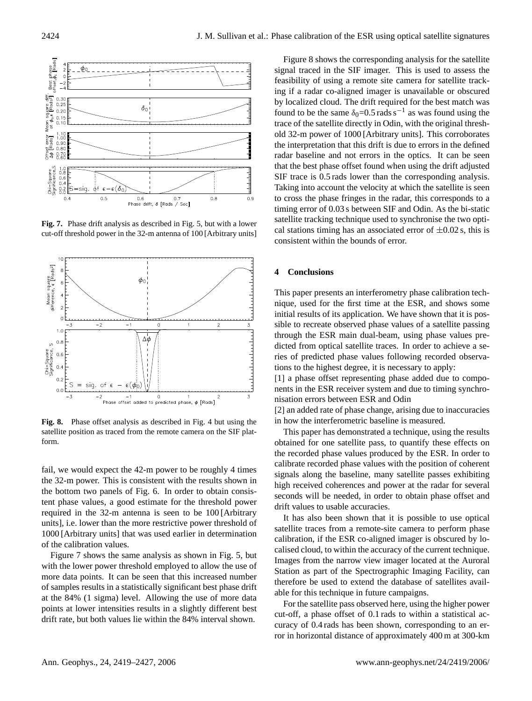

Figure 2. Phase drift and Figure 32-m antenna of 100 [Arbitrary units]<br>Can stations uning **Fig. 7.** Phase drift analysis as described in Fig. 5, but with a lower

<span id="page-5-0"></span>

satellite position as traced from the remote camera on the SIF plat-<br>This paper has d **Fig. 8.** Phase offset analysis as described in Fig. [4](#page-4-0) but using the form.

<span id="page-5-1"></span>fail, we would expect the 42-m power to be roughly 4 times the 32-m power. This is consistent with the results shown in the bottom two panels of Fig. [6.](#page-4-2) In order to obtain consistent phase values, a good estimate for the threshold power required in the 32-m antenna is seen to be 100 [Arbitrary units], i.e. lower than the more restrictive power threshold of 1000 [Arbitrary units] that was used earlier in determination of the calibration values.

Figure [7](#page-5-0) shows the same analysis as shown in Fig. [5,](#page-4-1) but with the lower power threshold employed to allow the use of more data points. It can be seen that this increased number of samples results in a statistically significant best phase drift at the 84% (1 sigma) level. Allowing the use of more data points at lower intensities results in a slightly different best drift rate, but both values lie within the 84% interval shown.

Figure [8](#page-5-1) shows the corresponding analysis for the satellite signal traced in the SIF imager. This is used to assess the feasibility of using a remote site camera for satellite tracking if a radar co-aligned imager is unavailable or obscured by localized cloud. The drift required for the best match was found to be the same  $\delta_0$ =0.5 rads s<sup>-1</sup> as was found using the trace of the satellite directly in Odin, with the original threshold 32-m power of 1000 [Arbitrary units]. This corroborates the interpretation that this drift is due to errors in the defined radar baseline and not errors in the optics. It can be seen that the best phase offset found when using the drift adjusted SIF trace is 0.5 rads lower than the corresponding analysis. Taking into account the velocity at which the satellite is seen to cross the phase fringes in the radar, this corresponds to a timing error of 0.03 s between SIF and Odin. As the bi-static satellite tracking technique used to synchronise the two optical stations timing has an associated error of  $\pm 0.02$  s, this is consistent within the bounds of error.

## **4 Conclusions**

This paper presents an interferometry phase calibration technique, used for the first time at the ESR, and shows some initial results of its application. We have shown that it is possible to recreate observed phase values of a satellite passing through the ESR main dual-beam, using phase values predicted from optical satellite traces. In order to achieve a series of predicted phase values following recorded observations to the highest degree, it is necessary to apply:

[1] a phase offset representing phase added due to components in the ESR receiver system and due to timing synchronisation errors between ESR and Odin

[2] an added rate of phase change, arising due to inaccuracies in how the interferometric baseline is measured.

This paper has demonstrated a technique, using the results obtained for one satellite pass, to quantify these effects on the recorded phase values produced by the ESR. In order to calibrate recorded phase values with the position of coherent signals along the baseline, many satellite passes exhibiting high received coherences and power at the radar for several seconds will be needed, in order to obtain phase offset and drift values to usable accuracies.

It has also been shown that it is possible to use optical satellite traces from a remote-site camera to perform phase calibration, if the ESR co-aligned imager is obscured by localised cloud, to within the accuracy of the current technique. Images from the narrow view imager located at the Auroral Station as part of the Spectrographic Imaging Facility, can therefore be used to extend the database of satellites available for this technique in future campaigns.

For in horizontal distance of approximately 400 m at 300-km For the satellite pass observed here, using the higher power cut-off, a phase offset of 0.1 rads to within a statistical accuracy of 0.4 rads has been shown, corresponding to an er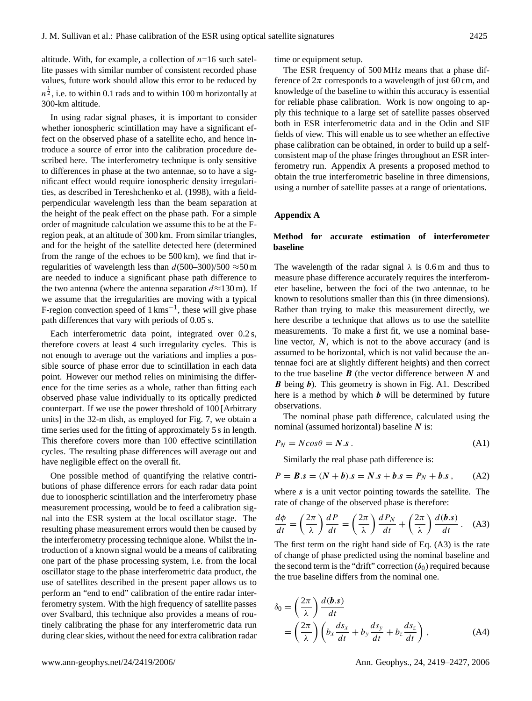altitude. With, for example, a collection of  $n=16$  such satellite passes with similar number of consistent recorded phase values, future work should allow this error to be reduced by  $n^{\frac{1}{2}}$ , i.e. to within 0.1 rads and to within 100 m horizontally at 300-km altitude.

In using radar signal phases, it is important to consider whether ionospheric scintillation may have a significant effect on the observed phase of a satellite echo, and hence introduce a source of error into the calibration procedure described here. The interferometry technique is only sensitive to differences in phase at the two antennae, so to have a significant effect would require ionospheric density irregularities, as described in [Tereshchenko et al.](#page-8-13) [\(1998\)](#page-8-13), with a fieldperpendicular wavelength less than the beam separation at the height of the peak effect on the phase path. For a simple order of magnitude calculation we assume this to be at the Fregion peak, at an altitude of 300 km. From similar triangles, and for the height of the satellite detected here (determined from the range of the echoes to be 500 km), we find that irregularities of wavelength less than  $d(500-300)/500 \approx 50$  m are needed to induce a significant phase path difference to the two antenna (where the antenna separation  $d \approx 130$  m). If we assume that the irregularities are moving with a typical F-region convection speed of 1 kms−<sup>1</sup> , these will give phase path differences that vary with periods of 0.05 s.

Each interferometric data point, integrated over 0.2 s, therefore covers at least 4 such irregularity cycles. This is not enough to average out the variations and implies a possible source of phase error due to scintillation in each data point. However our method relies on minimising the difference for the time series as a whole, rather than fitting each observed phase value individually to its optically predicted counterpart. If we use the power threshold of 100 [Arbitrary units] in the 32-m dish, as employed for Fig. [7,](#page-5-0) we obtain a time series used for the fitting of approximately 5 s in length. This therefore covers more than 100 effective scintillation cycles. The resulting phase differences will average out and have negligible effect on the overall fit.

One possible method of quantifying the relative contributions of phase difference errors for each radar data point due to ionospheric scintillation and the interferometry phase measurement processing, would be to feed a calibration signal into the ESR system at the local oscillator stage. The resulting phase measurement errors would then be caused by the interferometry processing technique alone. Whilst the introduction of a known signal would be a means of calibrating one part of the phase processing system, i.e. from the local oscillator stage to the phase interferometric data product, the use of satellites described in the present paper allows us to perform an "end to end" calibration of the entire radar interferometry system. With the high frequency of satellite passes over Svalbard, this technique also provides a means of routinely calibrating the phase for any interferometric data run during clear skies, without the need for extra calibration radar time or equipment setup.

The ESR frequency of 500 MHz means that a phase difference of  $2\pi$  corresponds to a wavelength of just 60 cm, and knowledge of the baseline to within this accuracy is essential for reliable phase calibration. Work is now ongoing to apply this technique to a large set of satellite passes observed both in ESR interferometric data and in the Odin and SIF fields of view. This will enable us to see whether an effective phase calibration can be obtained, in order to build up a selfconsistent map of the phase fringes throughout an ESR interferometry run. Appendix A presents a proposed method to obtain the true interferometric baseline in three dimensions, using a number of satellite passes at a range of orientations.

## **Appendix A**

## **Method for accurate estimation of interferometer baseline**

The wavelength of the radar signal  $\lambda$  is 0.6 m and thus to measure phase difference accurately requires the interferometer baseline, between the foci of the two antennae, to be known to resolutions smaller than this (in three dimensions). Rather than trying to make this measurement directly, we here describe a technique that allows us to use the satellite measurements. To make a first fit, we use a nominal baseline vector,  $N$ , which is not to the above accuracy (and is assumed to be horizontal, which is not valid because the antennae foci are at slightly different heights) and then correct to the true baseline  $\bm{B}$  (the vector difference between  $\bm{N}$  and  $\bf{B}$  being  $\bf{b}$ ). This geometry is shown in Fig. [A1.](#page-2-0) Described here is a method by which  $\boldsymbol{b}$  will be determined by future observations.

The nominal phase path difference, calculated using the nominal (assumed horizontal) baseline  $N$  is:

$$
P_N = N\cos\theta = N.\mathbf{s} \,. \tag{A1}
$$

Similarly the real phase path difference is:

$$
P = B \cdot s = (N + b) \cdot s = N \cdot s + b \cdot s = P_N + b \cdot s \,, \tag{A2}
$$

where s is a unit vector pointing towards the satellite. The rate of change of the observed phase is therefore:

$$
\frac{d\phi}{dt} = \left(\frac{2\pi}{\lambda}\right)\frac{dP}{dt} = \left(\frac{2\pi}{\lambda}\right)\frac{dP_N}{dt} + \left(\frac{2\pi}{\lambda}\right)\frac{d(b.s)}{dt}.
$$
 (A3)

The first term on the right hand side of Eq. (A3) is the rate of change of phase predicted using the nominal baseline and the second term is the "drift" correction  $(\delta_0)$  required because the true baseline differs from the nominal one.

$$
\delta_0 = \left(\frac{2\pi}{\lambda}\right) \frac{d(\boldsymbol{b}.\boldsymbol{s})}{dt} \n= \left(\frac{2\pi}{\lambda}\right) \left(b_x \frac{ds_x}{dt} + b_y \frac{ds_y}{dt} + b_z \frac{ds_z}{dt}\right),
$$
\n(A4)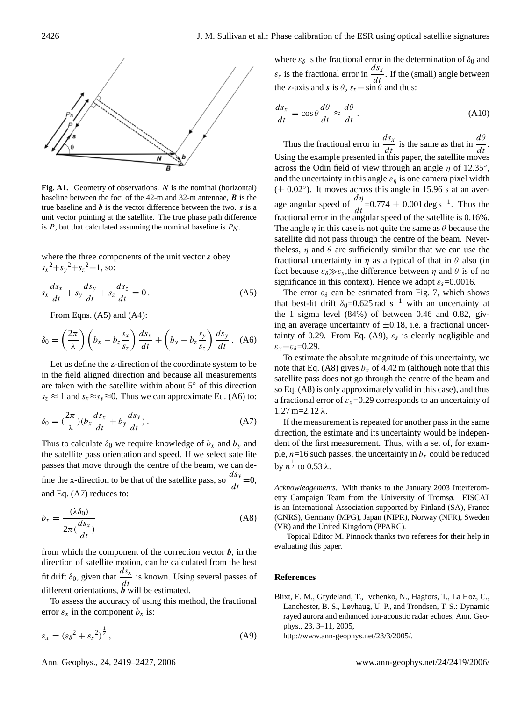

Fig. A1. Geometry of observations. N is the nominal (horizontal) baseline between the foci of the 42-m and 32-m antennae,  $\boldsymbol{B}$  is the true baseline and  $\boldsymbol{b}$  is the vector difference between the two.  $\boldsymbol{s}$  is a unit vector pointing at the satellite. The true phase path difference is  $P$ , but that calculated assuming the nominal baseline is  $P_N$ .

where the three components of the unit vector s obey  $s_x^2 + s_y^2 + s_z^2 = 1$ , so:

$$
s_x \frac{ds_x}{dt} + s_y \frac{ds_y}{dt} + s_z \frac{ds_z}{dt} = 0.
$$
 (A5)

From Eqns. (A5) and (A4):

$$
\delta_0 = \left(\frac{2\pi}{\lambda}\right) \left(b_x - b_z \frac{s_x}{s_z}\right) \frac{ds_x}{dt} + \left(b_y - b_z \frac{s_y}{s_z}\right) \frac{ds_y}{dt} \,. \tag{A6}
$$

Let us define the z-direction of the coordinate system to be in the field aligned direction and because all measurements are taken with the satellite within about 5◦ of this direction  $s_z \approx 1$  and  $s_x \approx s_y \approx 0$ . Thus we can approximate Eq. (A6) to:

$$
\delta_0 = \left(\frac{2\pi}{\lambda}\right)(b_x \frac{ds_x}{dt} + b_y \frac{ds_y}{dt})\,. \tag{A7}
$$

Thus to calculate  $\delta_0$  we require knowledge of  $b_x$  and  $b_y$  and the satellite pass orientation and speed. If we select satellite passes that move through the centre of the beam, we can define the x-direction to be that of the satellite pass, so  $\frac{ds_y}{ds_x}$  $\frac{d^{i}y}{dt} = 0,$ and Eq. (A7) reduces to:

$$
b_x = \frac{(\lambda \delta_0)}{2\pi(\frac{ds_x}{dt})}
$$
(A8)

from which the component of the correction vector  $\boldsymbol{b}$ , in the direction of satellite motion, can be calculated from the best fit drift  $\delta_0$ , given that  $\frac{ds_x}{dt}$  $\frac{d\sigma}{dt}$  is known. Using several passes of different orientations,  $\ddot{b}$  will be estimated.

To assess the accuracy of using this method, the fractional error  $\varepsilon_x$  in the component  $b_x$  is:

$$
\varepsilon_x = \left(\varepsilon_\delta{}^2 + \varepsilon_s{}^2\right)^{\frac{1}{2}},\tag{A9}
$$

Ann. Geophys., 24, 2419[–2427,](#page-0-0) 2006 www.ann-geophys.net/24/2419/2006/

where  $\varepsilon_{\delta}$  is the fractional error in the determination of  $\delta_0$  and  $\varepsilon_s$  is the fractional error in  $\frac{ds_x}{dt}$  $\frac{d\mathbf{x}}{dt}$ . If the (small) angle between the z-axis and s is  $\theta$ ,  $s_x = \sin \theta$  and thus:

$$
\frac{ds_x}{dt} = \cos\theta \frac{d\theta}{dt} \approx \frac{d\theta}{dt}.
$$
 (A10)

Thus the fractional error in  $\frac{ds_x}{dt}$  $\frac{ds_x}{dt}$  is the same as that in  $\frac{d\theta}{dt}$  $\frac{d}{dt}$ . Using the example presented in this paper, the satellite moves across the Odin field of view through an angle  $\eta$  of 12.35°, and the uncertainty in this angle  $\varepsilon_n$  is one camera pixel width  $(\pm 0.02^{\circ})$ . It moves across this angle in 15.96 s at an average angular speed of  $\frac{d\eta}{dt}$  $\frac{du}{dt}$ =0.774 ± 0.001 deg s<sup>-1</sup>. Thus the fractional error in the angular speed of the satellite is 0.16%. The angle  $\eta$  in this case is not quite the same as  $\theta$  because the satellite did not pass through the centre of the beam. Nevertheless,  $\eta$  and  $\theta$  are sufficiently similar that we can use the fractional uncertainty in  $\eta$  as a typical of that in  $\theta$  also (in fact because  $\varepsilon_{\delta} \gg \varepsilon_{s}$ , the difference between  $\eta$  and  $\theta$  is of no significance in this context). Hence we adopt  $\varepsilon_s$ =0.0016.

The error  $\varepsilon_{\delta}$  can be estimated from Fig. [7,](#page-5-0) which shows that best-fit drift  $\delta_0$ =0.625 rad s<sup>−1</sup> with an uncertainty at the 1 sigma level (84%) of between 0.46 and 0.82, giving an average uncertainty of  $\pm 0.18$ , i.e. a fractional uncertainty of 0.29. From Eq. (A9),  $\varepsilon_s$  is clearly negligible and  $\varepsilon_x = \varepsilon_{\delta} = 0.29$ .

To estimate the absolute magnitude of this uncertainty, we note that Eq. (A8) gives  $b_x$  of 4.42 m (although note that this satellite pass does not go through the centre of the beam and so Eq. (A8) is only approximately valid in this case), and thus a fractional error of  $\varepsilon_x$ =0.29 corresponds to an uncertainty of  $1.27$  m=2.12 λ.

If the measurement is repeated for another pass in the same direction, the estimate and its uncertainty would be independent of the first measurement. Thus, with a set of, for example,  $n=16$  such passes, the uncertainty in  $b<sub>x</sub>$  could be reduced by  $n^{\frac{1}{2}}$  to 0.53  $\lambda$ .

*Acknowledgements.* With thanks to the January 2003 Interferometry Campaign Team from the University of Tromsø. EISCAT is an International Association supported by Finland (SA), France (CNRS), Germany (MPG), Japan (NIPR), Norway (NFR), Sweden (VR) and the United Kingdom (PPARC).

Topical Editor M. Pinnock thanks two referees for their help in evaluating this paper.

## **References**

<span id="page-7-0"></span>Blixt, E. M., Grydeland, T., Ivchenko, N., Hagfors, T., La Hoz, C., Lanchester, B. S., Løvhaug, U. P., and Trondsen, T. S.: Dynamic rayed aurora and enhanced ion-acoustic radar echoes, Ann. Geophys., 23, 3–11, 2005,

[http://www.ann-geophys.net/23/3/2005/.](http://www.ann-geophys.net/23/3/2005/)